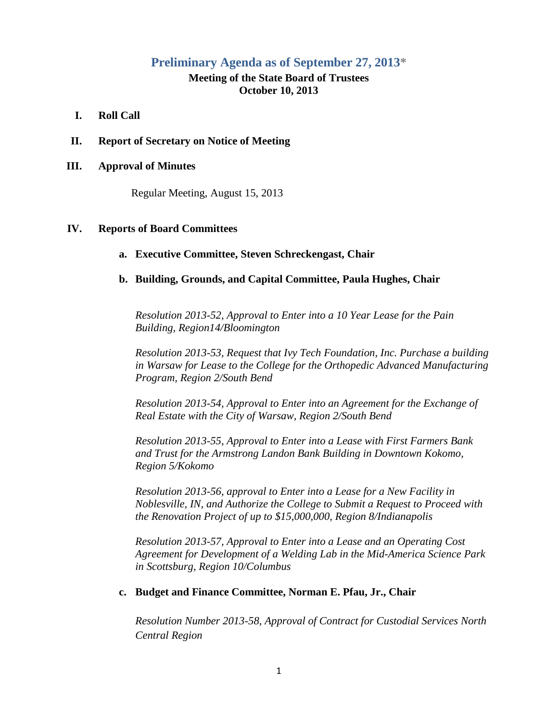# **Preliminary Agenda as of September 27, 2013\***

## **Meeting of the State Board of Trustees October 10, 2013**

## **I. Roll Call**

**II. Report of Secretary on Notice of Meeting**

#### **III. Approval of Minutes**

Regular Meeting, August 15, 2013

#### **IV. Reports of Board Committees**

## **a. Executive Committee, Steven Schreckengast, Chair**

#### **b. Building, Grounds, and Capital Committee, Paula Hughes, Chair**

*Resolution 2013-52, Approval to Enter into a 10 Year Lease for the Pain Building, Region14/Bloomington*

*Resolution 2013-53, Request that Ivy Tech Foundation, Inc. Purchase a building in Warsaw for Lease to the College for the Orthopedic Advanced Manufacturing Program, Region 2/South Bend*

*Resolution 2013-54, Approval to Enter into an Agreement for the Exchange of Real Estate with the City of Warsaw, Region 2/South Bend*

*Resolution 2013-55, Approval to Enter into a Lease with First Farmers Bank and Trust for the Armstrong Landon Bank Building in Downtown Kokomo, Region 5/Kokomo*

*Resolution 2013-56, approval to Enter into a Lease for a New Facility in Noblesville, IN, and Authorize the College to Submit a Request to Proceed with the Renovation Project of up to \$15,000,000, Region 8/Indianapolis*

*Resolution 2013-57, Approval to Enter into a Lease and an Operating Cost Agreement for Development of a Welding Lab in the Mid-America Science Park in Scottsburg, Region 10/Columbus*

### **c. Budget and Finance Committee, Norman E. Pfau, Jr., Chair**

*Resolution Number 2013-58, Approval of Contract for Custodial Services North Central Region*